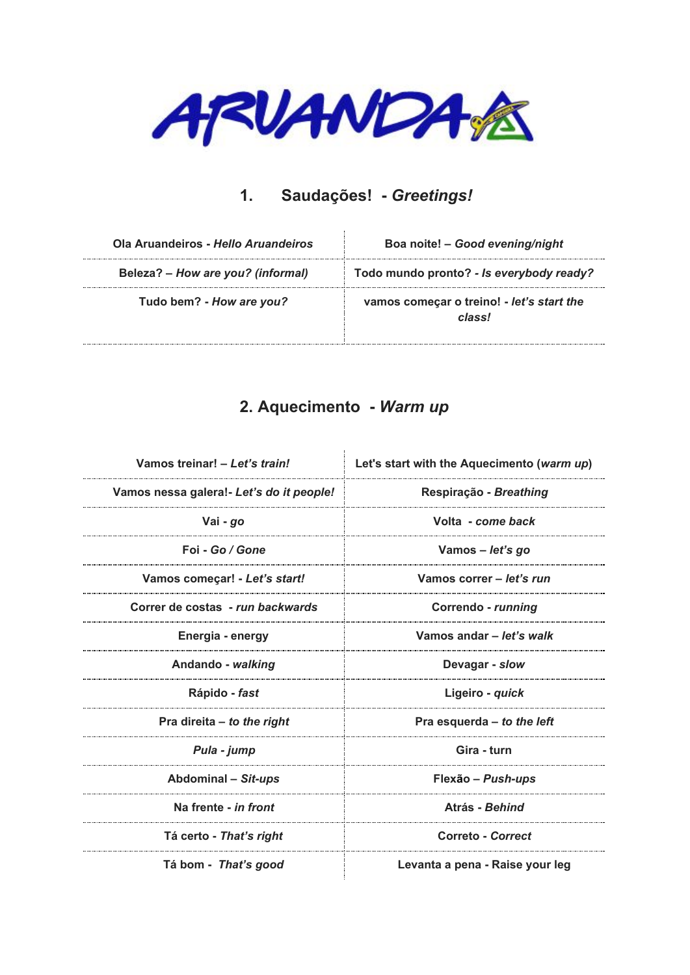

### **1. Saudações! -** *Greetings!*

| Ola Aruandeiros - Hello Aruandeiros | Boa noite! - Good evening/night                     |
|-------------------------------------|-----------------------------------------------------|
| Beleza? – How are you? (informal)   | Todo mundo pronto? - Is everybody ready?            |
| Tudo bem? - How are you?            | vamos começar o treino! - let's start the<br>classl |

### **2. Aquecimento -** *Warm up*

| Vamos treinar! - Let's train!            | Let's start with the Aquecimento (warm up) |
|------------------------------------------|--------------------------------------------|
| Vamos nessa galera!- Let's do it people! | Respiração - Breathing                     |
| Vai - go                                 | Volta - come back                          |
| Foi - Go / Gone                          | Vamos – let's go                           |
| Vamos comecar! - Let's start!            | Vamos correr - let's run                   |
| Correr de costas - run backwards         | Correndo - running                         |
| Energia - energy                         | Vamos andar - let's walk                   |
| Andando - walking                        | Devagar - slow                             |
| Rápido - fast                            | Ligeiro - quick                            |
| Pra direita - to the right               | Pra esquerda - to the left                 |
| Pula - jump                              | Gira - turn                                |
| Abdominal - Sit-ups                      | Flexão - Push-ups                          |
| Na frente - in front                     | Atrás - Behind                             |
| Tá certo - That's right                  | Correto - Correct                          |
| Tá bom - That's good                     | Levanta a pena - Raise your leg            |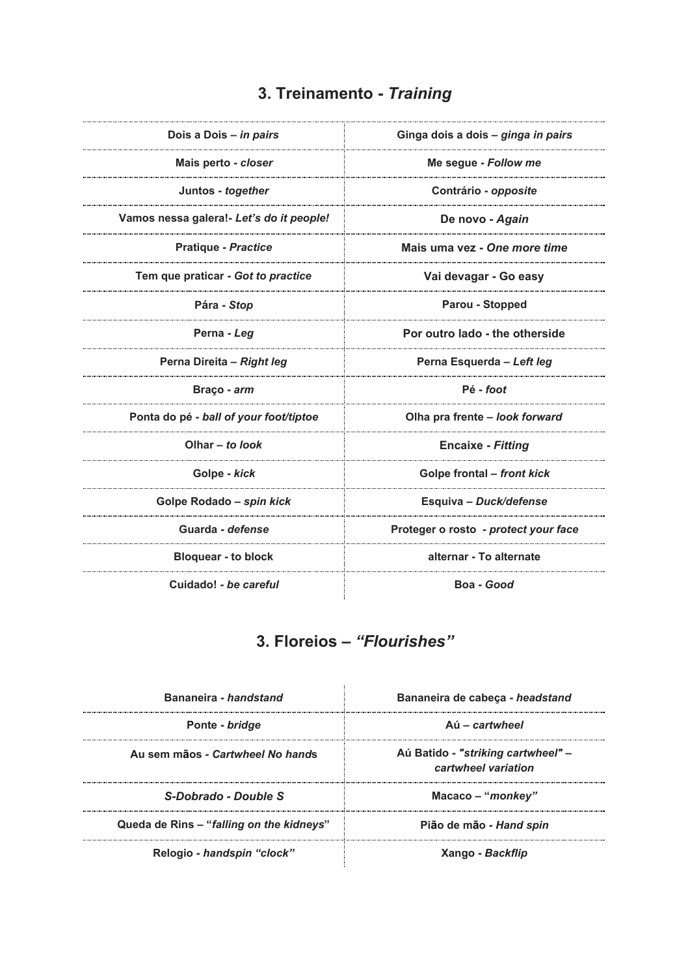## **3. Treinamento -** *Training*

| Dois a Dois - in pairs                   | Ginga dois a dois - ginga in pairs   |
|------------------------------------------|--------------------------------------|
| Mais perto - closer                      | Me segue - Follow me                 |
| Juntos - together                        | Contrário - opposite                 |
| Vamos nessa galera!- Let's do it people! | De novo - Again                      |
| <b>Pratique - Practice</b>               | Mais uma vez - One more time         |
| Tem que praticar - Got to practice       | Vai devagar - Go easy                |
| Pára - Stop                              | Parou - Stopped                      |
| Perna - Leg                              | Por outro lado - the otherside       |
| Perna Direita - Right leg                | Perna Esquerda - Left leg            |
| Braço - arm                              | Pé - foot                            |
| Ponta do pé - ball of your foot/tiptoe   | Olha pra frente – look forward       |
| Olhar $-$ to look                        | <b>Encaixe - Fitting</b>             |
| Golpe - kick                             | Golpe frontal – front kick           |
| Golpe Rodado - spin kick                 | Esquiva - Duck/defense               |
| Guarda - defense                         | Proteger o rosto - protect your face |
| <b>Bloquear - to block</b>               | alternar - To alternate              |
| Cuidado! - be careful                    | Boa - Good                           |
|                                          |                                      |

# **3. Floreios –** *"Flourishes"*

| Bananeira - handstand                    | Bananeira de cabeca - headstand                           |
|------------------------------------------|-----------------------------------------------------------|
| Ponte - bridge                           | $Ai = cartwheel$                                          |
| Au sem mãos - Cartwheel No hands         | Aú Batido - "striking cartwheel" –<br>cartwheel variation |
| S-Dobrado - Double S                     | $Macco - "monkey"$                                        |
| Queda de Rins – "falling on the kidneys" | Pião de mão - Hand spin                                   |
| Relogio - handspin "clock"               | Xango - Backflip                                          |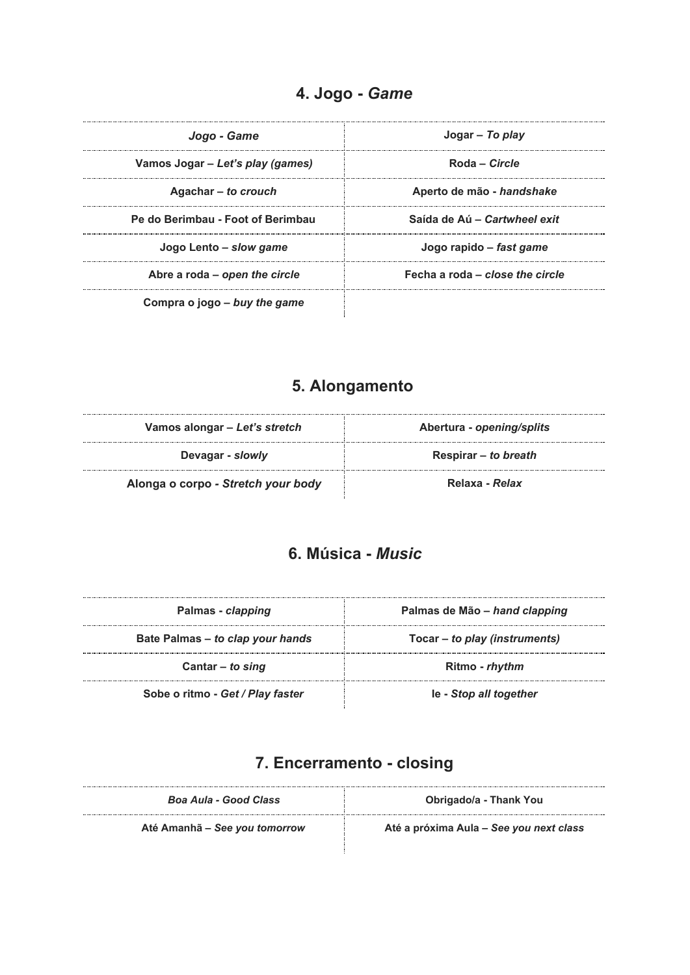### **4. Jogo -** *Game*

| Jogo - Game                       | Jogar – To play                 |
|-----------------------------------|---------------------------------|
| Vamos Jogar - Let's play (games)  | Roda – Circle                   |
| Agachar – to crouch               | Aperto de mão - handshake       |
| Pe do Berimbau - Foot of Berimbau | Saída de Aú - Cartwheel exit    |
| Jogo Lento – slow game            | Jogo rapido – fast game         |
| Abre a roda – open the circle     | Fecha a roda - close the circle |
| Compra o jogo - buy the game      |                                 |

## **5. Alongamento**

| Vamos alongar – Let's stretch      | Abertura - opening/splits |
|------------------------------------|---------------------------|
| Devagar - slowly                   | Respirar – to breath      |
| Alonga o corpo - Stretch your body | Relaxa - Relax            |

### **6. Música -** *Music*

| Palmas - clapping                | Palmas de Mão – hand clapping |
|----------------------------------|-------------------------------|
| Bate Palmas – to clap your hands | Tocar – to play (instruments) |
| Cantar $-$ to sing               | Ritmo - rhythm                |
| Sobe o ritmo - Get / Play faster | le - Stop all together        |

### **7. Encerramento - closing**

| Boa Aula - Good Class         | Obrigado/a - Thank You                  |
|-------------------------------|-----------------------------------------|
| Até Amanhã – See you tomorrow | Até a próxima Aula - See you next class |